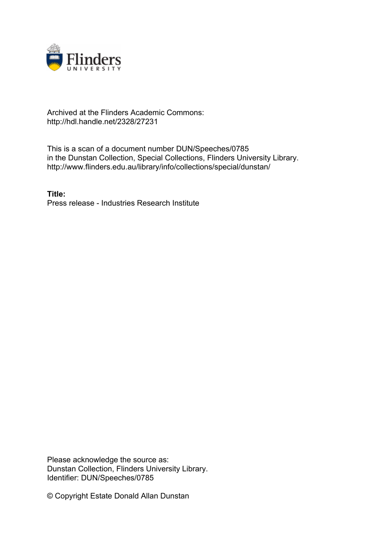

## Archived at the Flinders Academic Commons: http://hdl.handle.net/2328/27231

This is a scan of a document number DUN/Speeches/0785 in the Dunstan Collection, Special Collections, Flinders University Library. http://www.flinders.edu.au/library/info/collections/special/dunstan/

**Title:** Press release - Industries Research Institute

Please acknowledge the source as: Dunstan Collection, Flinders University Library. Identifier: DUN/Speeches/0785

© Copyright Estate Donald Allan Dunstan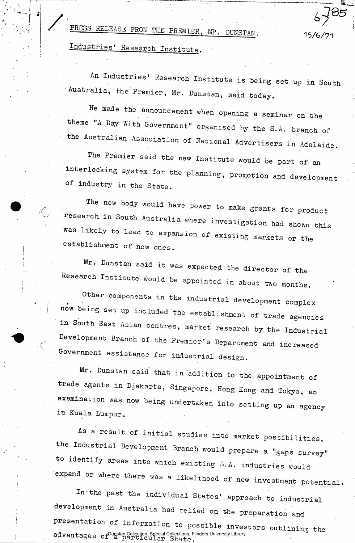PRESS RELEASE FROM THE PREMIER, MR. DUNSTAN. 15/6/71

Industries' Research Institute.

An Industries' Research Institute is being set up in South Australia, the Premier, Mr. Dunstan, said today.

He made the announcement when opening a seminar on the theme "A Day With Government" organised by the S.A. branch of the Australian Association of National Advertisers in Adelaide.

The Premier said the new Institute would be part of an interlocking system for the planning, promotion and development Of industry in the State.

The new body would have power to make grants for product research in South Australia where investigation had shown this was likely to lead to expansion of existing markets or the establishment of new ones.

Mr. Dunstan said it was expected was expected the director of the Research Institute would be appointed in about two months.

Other components in the industrial development complex now being set up included the establishment of trade agencies in South East Asian centres, market research by the Industrial . Development Branch of the Premier's Department and increased Government assistance for industrial design.

Mr. Dunstan said that in addition to the appointment of trade agents in Djakarta, Singapore, Hong Kong and Tokyo, an examination was now being undertaken into setting up an agency in Kuala Lumpur.

As a result of initial studies into market possibilities, the Industrial Development Branch would prepare a "gaps survey" to identify areas into which existing 3.A. industries would expand or where there was a likelihood of new investment potential.

In the past the individual States' approach to industrial development in Australia had relied on the preparation and presentation of information to possible investors outlining the  $\mathtt{advants}$   $\mathtt{args}$  of  $^\mathtt{Dupstan}$  Collection, Special Collections, Flinders University Library.